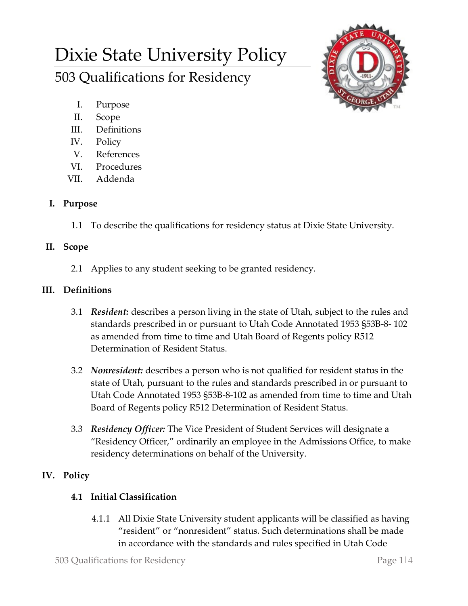# Dixie State University Policy 503 Qualifications for Residency



- I. Purpose
- II. Scope
- III. Definitions
- IV. Policy
- V. References
- VI. Procedures
- VII. Addenda

## **I. Purpose**

1.1 To describe the qualifications for residency status at Dixie State University.

## **II. Scope**

2.1 Applies to any student seeking to be granted residency.

## **III. Definitions**

- 3.1 *Resident:* describes a person living in the state of Utah, subject to the rules and standards prescribed in or pursuant to Utah Code Annotated 1953 §53B-8- 102 as amended from time to time and Utah Board of Regents policy R512 Determination of Resident Status.
- 3.2 *Nonresident:* describes a person who is not qualified for resident status in the state of Utah, pursuant to the rules and standards prescribed in or pursuant to Utah Code Annotated 1953 §53B-8-102 as amended from time to time and Utah Board of Regents policy R512 Determination of Resident Status.
- 3.3 *Residency Officer:* The Vice President of Student Services will designate a "Residency Officer," ordinarily an employee in the Admissions Office, to make residency determinations on behalf of the University.

# **IV. Policy**

## **4.1 Initial Classification**

4.1.1 All Dixie State University student applicants will be classified as having "resident" or "nonresident" status. Such determinations shall be made in accordance with the standards and rules specified in Utah Code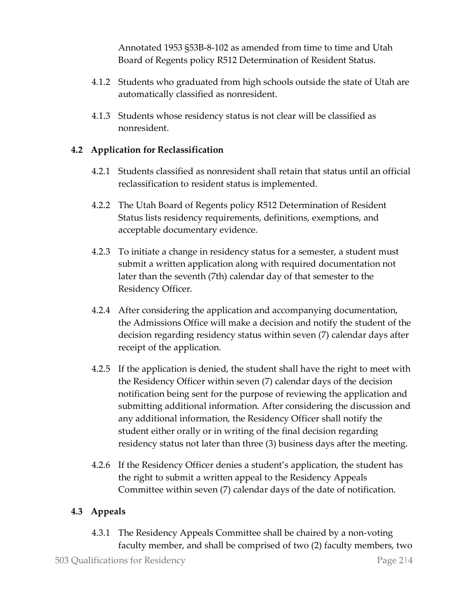Annotated 1953 §53B-8-102 as amended from time to time and Utah Board of Regents policy R512 Determination of Resident Status.

- 4.1.2 Students who graduated from high schools outside the state of Utah are automatically classified as nonresident.
- 4.1.3 Students whose residency status is not clear will be classified as nonresident.

## **4.2 Application for Reclassification**

- 4.2.1 Students classified as nonresident shall retain that status until an official reclassification to resident status is implemented.
- 4.2.2 The Utah Board of Regents policy R512 Determination of Resident Status lists residency requirements, definitions, exemptions, and acceptable documentary evidence.
- 4.2.3 To initiate a change in residency status for a semester, a student must submit a written application along with required documentation not later than the seventh (7th) calendar day of that semester to the Residency Officer.
- 4.2.4 After considering the application and accompanying documentation, the Admissions Office will make a decision and notify the student of the decision regarding residency status within seven (7) calendar days after receipt of the application.
- 4.2.5 If the application is denied, the student shall have the right to meet with the Residency Officer within seven (7) calendar days of the decision notification being sent for the purpose of reviewing the application and submitting additional information. After considering the discussion and any additional information, the Residency Officer shall notify the student either orally or in writing of the final decision regarding residency status not later than three (3) business days after the meeting.
- 4.2.6 If the Residency Officer denies a student's application, the student has the right to submit a written appeal to the Residency Appeals Committee within seven (7) calendar days of the date of notification.

#### **4.3 Appeals**

4.3.1 The Residency Appeals Committee shall be chaired by a non-voting faculty member, and shall be comprised of two (2) faculty members, two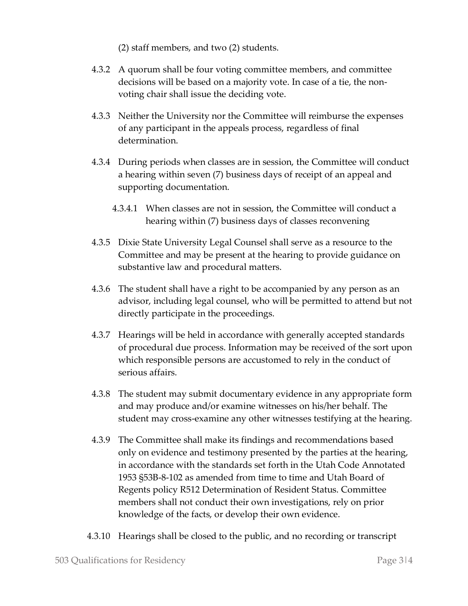(2) staff members, and two (2) students.

- 4.3.2 A quorum shall be four voting committee members, and committee decisions will be based on a majority vote. In case of a tie, the nonvoting chair shall issue the deciding vote.
- 4.3.3 Neither the University nor the Committee will reimburse the expenses of any participant in the appeals process, regardless of final determination.
- 4.3.4 During periods when classes are in session, the Committee will conduct a hearing within seven (7) business days of receipt of an appeal and supporting documentation.
	- 4.3.4.1 When classes are not in session, the Committee will conduct a hearing within (7) business days of classes reconvening
- 4.3.5 Dixie State University Legal Counsel shall serve as a resource to the Committee and may be present at the hearing to provide guidance on substantive law and procedural matters.
- 4.3.6 The student shall have a right to be accompanied by any person as an advisor, including legal counsel, who will be permitted to attend but not directly participate in the proceedings.
- 4.3.7 Hearings will be held in accordance with generally accepted standards of procedural due process. Information may be received of the sort upon which responsible persons are accustomed to rely in the conduct of serious affairs.
- 4.3.8 The student may submit documentary evidence in any appropriate form and may produce and/or examine witnesses on his/her behalf. The student may cross-examine any other witnesses testifying at the hearing.
- 4.3.9 The Committee shall make its findings and recommendations based only on evidence and testimony presented by the parties at the hearing, in accordance with the standards set forth in the Utah Code Annotated 1953 §53B-8-102 as amended from time to time and Utah Board of Regents policy R512 Determination of Resident Status. Committee members shall not conduct their own investigations, rely on prior knowledge of the facts, or develop their own evidence.
- 4.3.10 Hearings shall be closed to the public, and no recording or transcript